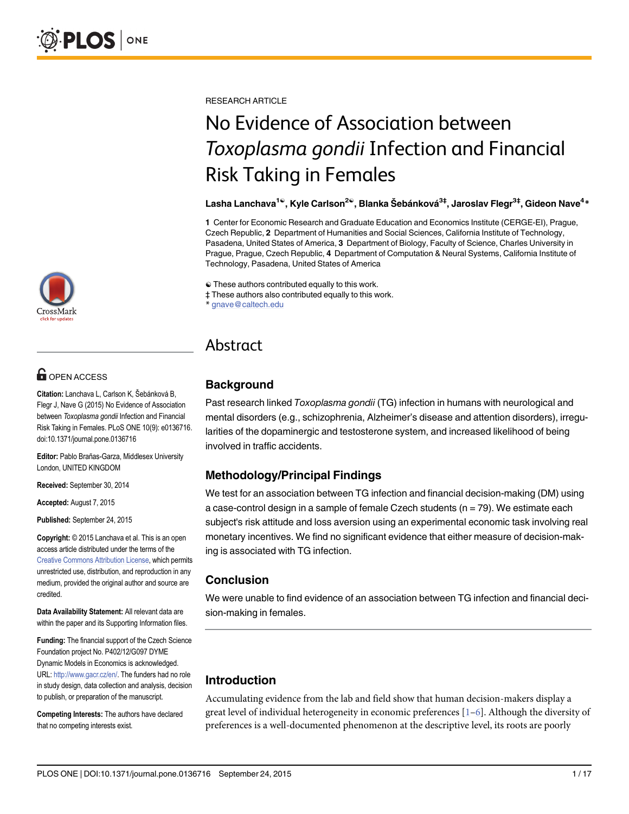

# **G** OPEN ACCESS

Citation: Lanchava L, Carlson K, Šebánková B, Flegr J, Nave G (2015) No Evidence of Association between Toxoplasma gondii Infection and Financial Risk Taking in Females. PLoS ONE 10(9): e0136716. doi:10.1371/journal.pone.0136716

Editor: Pablo Brañas-Garza, Middlesex University London, UNITED KINGDOM

Received: September 30, 2014

Accepted: August 7, 2015

Published: September 24, 2015

Copyright: © 2015 Lanchava et al. This is an open access article distributed under the terms of the [Creative Commons Attribution License,](http://creativecommons.org/licenses/by/4.0/) which permits unrestricted use, distribution, and reproduction in any medium, provided the original author and source are credited.

Data Availability Statement: All relevant data are within the paper and its Supporting Information files.

Funding: The financial support of the Czech Science Foundation project No. P402/12/G097 DYME Dynamic Models in Economics is acknowledged. URL: <http://www.gacr.cz/en/>. The funders had no role in study design, data collection and analysis, decision to publish, or preparation of the manuscript.

Competing Interests: The authors have declared that no competing interests exist.

<span id="page-0-0"></span>RESEARCH ARTICLE

# No Evidence of Association between Toxoplasma gondii Infection and Financial Risk Taking in Females

#### Lasha Lanchava<sup>1ଢ</sup>, Kyle Carlson<sup>2ଢ</sup>, Blanka Šebánková<sup>3‡</sup>, Jaroslav Flegr<sup>3‡</sup>, Gideon Nave<sup>4</sup>\*

1 Center for Economic Research and Graduate Education and Economics Institute (CERGE-EI), Prague, Czech Republic, 2 Department of Humanities and Social Sciences, California Institute of Technology, Pasadena, United States of America, 3 Department of Biology, Faculty of Science, Charles University in Prague, Prague, Czech Republic, 4 Department of Computation & Neural Systems, California Institute of Technology, Pasadena, United States of America

☯ These authors contributed equally to this work.

‡ These authors also contributed equally to this work.

gnave@caltech.edu

# Abstract

# **Background**

Past research linked Toxoplasma gondii (TG) infection in humans with neurological and mental disorders (e.g., schizophrenia, Alzheimer's disease and attention disorders), irregularities of the dopaminergic and testosterone system, and increased likelihood of being involved in traffic accidents.

# Methodology/Principal Findings

We test for an association between TG infection and financial decision-making (DM) using a case-control design in a sample of female Czech students  $(n = 79)$ . We estimate each subject's risk attitude and loss aversion using an experimental economic task involving real monetary incentives. We find no significant evidence that either measure of decision-making is associated with TG infection.

# Conclusion

We were unable to find evidence of an association between TG infection and financial decision-making in females.

# Introduction

Accumulating evidence from the lab and field show that human decision-makers display a great level of individual heterogeneity in economic preferences  $[1-6]$  $[1-6]$  $[1-6]$ . Although the diversity of preferences is a well-documented phenomenon at the descriptive level, its roots are poorly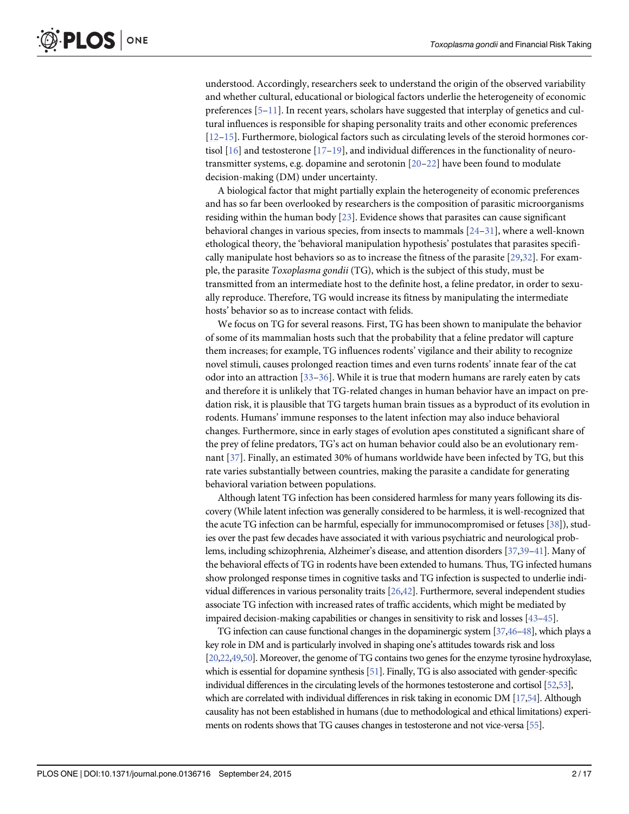<span id="page-1-0"></span>understood. Accordingly, researchers seek to understand the origin of the observed variability and whether cultural, educational or biological factors underlie the heterogeneity of economic preferences  $[5-11]$  $[5-11]$  $[5-11]$  $[5-11]$ . In recent years, scholars have suggested that interplay of genetics and cultural influences is responsible for shaping personality traits and other economic preferences [\[12](#page-13-0)–[15\]](#page-13-0). Furthermore, biological factors such as circulating levels of the steroid hormones cortisol  $[16]$  $[16]$  and testosterone  $[17-19]$  $[17-19]$  $[17-19]$ , and individual differences in the functionality of neurotransmitter systems, e.g. dopamine and serotonin [[20](#page-13-0)–[22\]](#page-13-0) have been found to modulate decision-making (DM) under uncertainty.

A biological factor that might partially explain the heterogeneity of economic preferences and has so far been overlooked by researchers is the composition of parasitic microorganisms residing within the human body [[23](#page-13-0)]. Evidence shows that parasites can cause significant behavioral changes in various species, from insects to mammals  $[24-31]$  $[24-31]$  $[24-31]$  $[24-31]$ , where a well-known ethological theory, the 'behavioral manipulation hypothesis' postulates that parasites specifically manipulate host behaviors so as to increase the fitness of the parasite [[29,](#page-13-0)[32](#page-14-0)]. For example, the parasite Toxoplasma gondii (TG), which is the subject of this study, must be transmitted from an intermediate host to the definite host, a feline predator, in order to sexually reproduce. Therefore, TG would increase its fitness by manipulating the intermediate hosts' behavior so as to increase contact with felids.

We focus on TG for several reasons. First, TG has been shown to manipulate the behavior of some of its mammalian hosts such that the probability that a feline predator will capture them increases; for example, TG influences rodents' vigilance and their ability to recognize novel stimuli, causes prolonged reaction times and even turns rodents' innate fear of the cat odor into an attraction [[33](#page-14-0)–[36\]](#page-14-0). While it is true that modern humans are rarely eaten by cats and therefore it is unlikely that TG-related changes in human behavior have an impact on predation risk, it is plausible that TG targets human brain tissues as a byproduct of its evolution in rodents. Humans' immune responses to the latent infection may also induce behavioral changes. Furthermore, since in early stages of evolution apes constituted a significant share of the prey of feline predators, TG's act on human behavior could also be an evolutionary remnant [[37](#page-14-0)]. Finally, an estimated 30% of humans worldwide have been infected by TG, but this rate varies substantially between countries, making the parasite a candidate for generating behavioral variation between populations.

Although latent TG infection has been considered harmless for many years following its discovery (While latent infection was generally considered to be harmless, it is well-recognized that the acute TG infection can be harmful, especially for immunocompromised or fetuses [\[38](#page-14-0)]), studies over the past few decades have associated it with various psychiatric and neurological problems, including schizophrenia, Alzheimer's disease, and attention disorders [\[37,39](#page-14-0)–[41\]](#page-14-0). Many of the behavioral effects of TG in rodents have been extended to humans. Thus, TG infected humans show prolonged response times in cognitive tasks and TG infection is suspected to underlie individual differences in various personality traits [[26](#page-13-0)[,42](#page-14-0)]. Furthermore, several independent studies associate TG infection with increased rates of traffic accidents, which might be mediated by impaired decision-making capabilities or changes in sensitivity to risk and losses [\[43](#page-14-0)–[45](#page-14-0)].

TG infection can cause functional changes in the dopaminergic system [\[37,46](#page-14-0)–[48](#page-14-0)], which plays a key role in DM and is particularly involved in shaping one's attitudes towards risk and loss [\[20,22](#page-13-0)[,49,50\]](#page-14-0). Moreover, the genome of TG contains two genes for the enzyme tyrosine hydroxylase, which is essential for dopamine synthesis [\[51](#page-14-0)]. Finally, TG is also associated with gender-specific individual differences in the circulating levels of the hormones testosterone and cortisol [[52,](#page-14-0)[53\]](#page-15-0), which are correlated with individual differences in risk taking in economic DM [\[17](#page-13-0)[,54\]](#page-15-0). Although causality has not been established in humans (due to methodological and ethical limitations) experiments on rodents shows that TG causes changes in testosterone and not vice-versa [\[55\]](#page-15-0).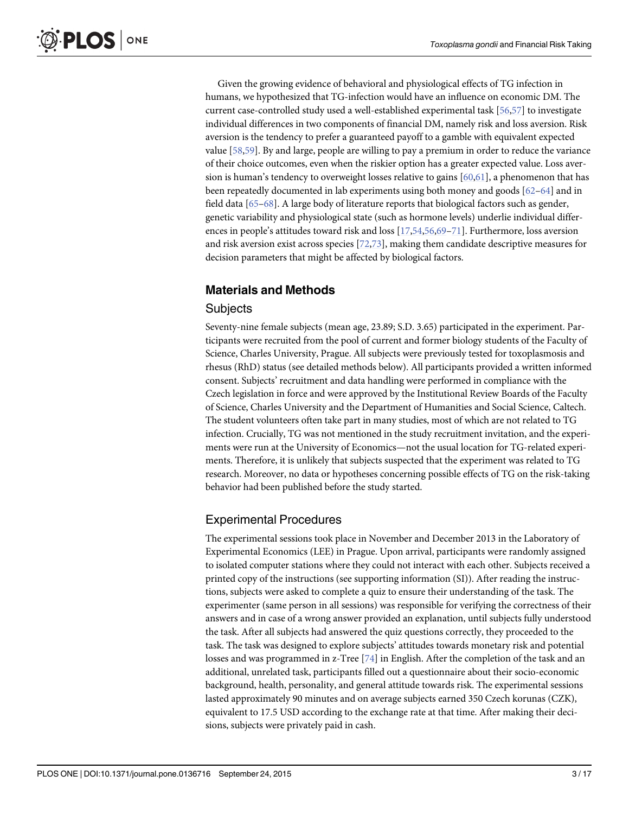<span id="page-2-0"></span>Given the growing evidence of behavioral and physiological effects of TG infection in humans, we hypothesized that TG-infection would have an influence on economic DM. The current case-controlled study used a well-established experimental task [\[56,57\]](#page-15-0) to investigate individual differences in two components of financial DM, namely risk and loss aversion. Risk aversion is the tendency to prefer a guaranteed payoff to a gamble with equivalent expected value [\[58,59\]](#page-15-0). By and large, people are willing to pay a premium in order to reduce the variance of their choice outcomes, even when the riskier option has a greater expected value. Loss aversion is human's tendency to overweight losses relative to gains [\[60,61\]](#page-15-0), a phenomenon that has been repeatedly documented in lab experiments using both money and goods [[62](#page-15-0)–[64\]](#page-15-0) and in field data  $[65-68]$  $[65-68]$  $[65-68]$ . A large body of literature reports that biological factors such as gender, genetic variability and physiological state (such as hormone levels) underlie individual differences in people's attitudes toward risk and loss [[17](#page-13-0)[,54,56,69](#page-15-0)–[71](#page-15-0)]. Furthermore, loss aversion and risk aversion exist across species [\[72,73\]](#page-15-0), making them candidate descriptive measures for decision parameters that might be affected by biological factors.

# Materials and Methods

#### **Subjects**

Seventy-nine female subjects (mean age, 23.89; S.D. 3.65) participated in the experiment. Participants were recruited from the pool of current and former biology students of the Faculty of Science, Charles University, Prague. All subjects were previously tested for toxoplasmosis and rhesus (RhD) status (see detailed methods below). All participants provided a written informed consent. Subjects' recruitment and data handling were performed in compliance with the Czech legislation in force and were approved by the Institutional Review Boards of the Faculty of Science, Charles University and the Department of Humanities and Social Science, Caltech. The student volunteers often take part in many studies, most of which are not related to TG infection. Crucially, TG was not mentioned in the study recruitment invitation, and the experiments were run at the University of Economics—not the usual location for TG-related experiments. Therefore, it is unlikely that subjects suspected that the experiment was related to TG research. Moreover, no data or hypotheses concerning possible effects of TG on the risk-taking behavior had been published before the study started.

# Experimental Procedures

The experimental sessions took place in November and December 2013 in the Laboratory of Experimental Economics (LEE) in Prague. Upon arrival, participants were randomly assigned to isolated computer stations where they could not interact with each other. Subjects received a printed copy of the instructions (see supporting information (SI)). After reading the instructions, subjects were asked to complete a quiz to ensure their understanding of the task. The experimenter (same person in all sessions) was responsible for verifying the correctness of their answers and in case of a wrong answer provided an explanation, until subjects fully understood the task. After all subjects had answered the quiz questions correctly, they proceeded to the task. The task was designed to explore subjects' attitudes towards monetary risk and potential losses and was programmed in z-Tree [\[74\]](#page-15-0) in English. After the completion of the task and an additional, unrelated task, participants filled out a questionnaire about their socio-economic background, health, personality, and general attitude towards risk. The experimental sessions lasted approximately 90 minutes and on average subjects earned 350 Czech korunas (CZK), equivalent to 17.5 USD according to the exchange rate at that time. After making their decisions, subjects were privately paid in cash.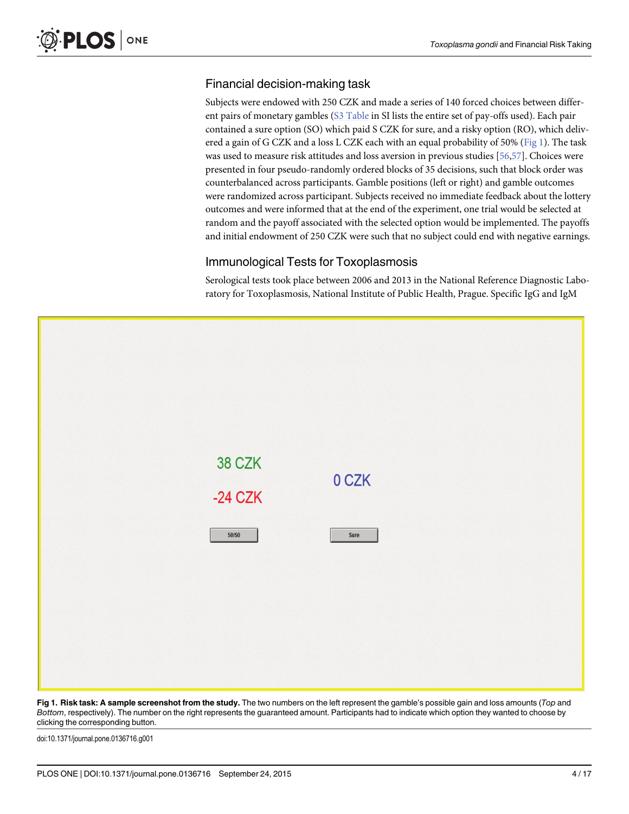# Financial decision-making task

Subjects were endowed with 250 CZK and made a series of 140 forced choices between differ-ent pairs of monetary gambles [\(S3 Table](#page-12-0) in SI lists the entire set of pay-offs used). Each pair contained a sure option (SO) which paid S CZK for sure, and a risky option (RO), which delivered a gain of G CZK and a loss L CZK each with an equal probability of 50% ( $Fig 1$ ). The task was used to measure risk attitudes and loss aversion in previous studies [\[56,57\]](#page-15-0). Choices were presented in four pseudo-randomly ordered blocks of 35 decisions, such that block order was counterbalanced across participants. Gamble positions (left or right) and gamble outcomes were randomized across participant. Subjects received no immediate feedback about the lottery outcomes and were informed that at the end of the experiment, one trial would be selected at random and the payoff associated with the selected option would be implemented. The payoffs and initial endowment of 250 CZK were such that no subject could end with negative earnings.

## Immunological Tests for Toxoplasmosis

Serological tests took place between 2006 and 2013 in the National Reference Diagnostic Laboratory for Toxoplasmosis, National Institute of Public Health, Prague. Specific IgG and IgM



Fig 1. Risk task: A sample screenshot from the study. The two numbers on the left represent the gamble's possible gain and loss amounts (Top and Bottom, respectively). The number on the right represents the guaranteed amount. Participants had to indicate which option they wanted to choose by clicking the corresponding button.

doi:10.1371/journal.pone.0136716.g001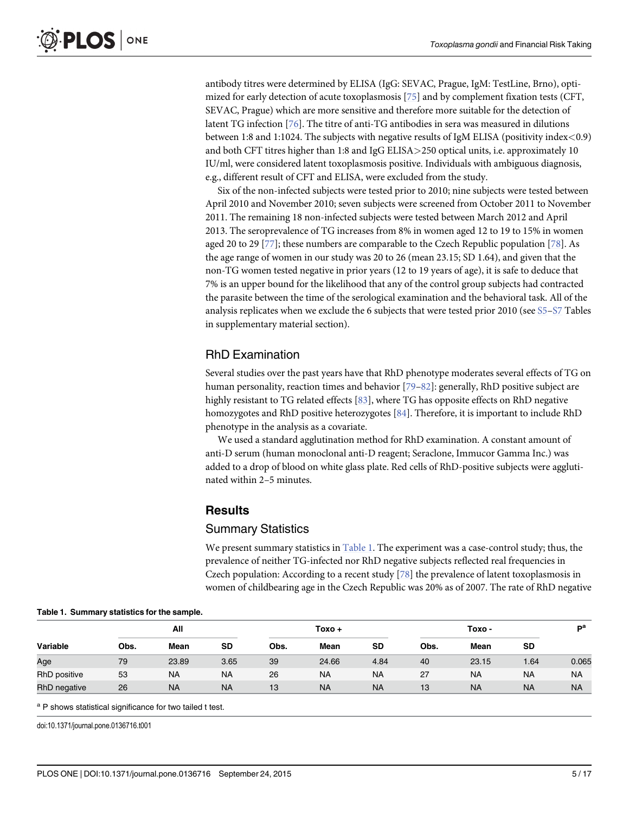<span id="page-4-0"></span>antibody titres were determined by ELISA (IgG: SEVAC, Prague, IgM: TestLine, Brno), optimized for early detection of acute toxoplasmosis [\[75\]](#page-15-0) and by complement fixation tests (CFT, SEVAC, Prague) which are more sensitive and therefore more suitable for the detection of latent TG infection [\[76\]](#page-15-0). The titre of anti-TG antibodies in sera was measured in dilutions between 1:8 and 1:1024. The subjects with negative results of IgM ELISA (positivity index<0.9) and both CFT titres higher than 1:8 and IgG ELISA>250 optical units, i.e. approximately 10 IU/ml, were considered latent toxoplasmosis positive. Individuals with ambiguous diagnosis, e.g., different result of CFT and ELISA, were excluded from the study.

Six of the non-infected subjects were tested prior to 2010; nine subjects were tested between April 2010 and November 2010; seven subjects were screened from October 2011 to November 2011. The remaining 18 non-infected subjects were tested between March 2012 and April 2013. The seroprevalence of TG increases from 8% in women aged 12 to 19 to 15% in women aged 20 to 29 [[77](#page-15-0)]; these numbers are comparable to the Czech Republic population [\[78](#page-16-0)]. As the age range of women in our study was 20 to 26 (mean 23.15; SD 1.64), and given that the non-TG women tested negative in prior years (12 to 19 years of age), it is safe to deduce that 7% is an upper bound for the likelihood that any of the control group subjects had contracted the parasite between the time of the serological examination and the behavioral task. All of the analysis replicates when we exclude the 6 subjects that were tested prior 2010 (see [S5](#page-12-0)–[S7](#page-12-0) Tables in supplementary material section).

## RhD Examination

Several studies over the past years have that RhD phenotype moderates several effects of TG on human personality, reaction times and behavior [\[79](#page-16-0)–[82\]](#page-16-0): generally, RhD positive subject are highly resistant to TG related effects [[83](#page-16-0)], where TG has opposite effects on RhD negative homozygotes and RhD positive heterozygotes [\[84\]](#page-16-0). Therefore, it is important to include RhD phenotype in the analysis as a covariate.

We used a standard agglutination method for RhD examination. A constant amount of anti-D serum (human monoclonal anti-D reagent; Seraclone, Immucor Gamma Inc.) was added to a drop of blood on white glass plate. Red cells of RhD-positive subjects were agglutinated within 2–5 minutes.

#### Results

#### Summary Statistics

We present summary statistics in  $Table 1$ . The experiment was a case-control study; thus, the prevalence of neither TG-infected nor RhD negative subjects reflected real frequencies in Czech population: According to a recent study  $[78]$  $[78]$  the prevalence of latent toxoplasmosis in women of childbearing age in the Czech Republic was 20% as of 2007. The rate of RhD negative

|              | All  |           |           | Toxo + |           |           | Toxo - |           |           | ъa        |
|--------------|------|-----------|-----------|--------|-----------|-----------|--------|-----------|-----------|-----------|
| Variable     | Obs. | Mean      | SD        | Obs.   | Mean      | <b>SD</b> | Obs.   | Mean      | <b>SD</b> |           |
| Age          | 79   | 23.89     | 3.65      | 39     | 24.66     | 4.84      | 40     | 23.15     | 1.64      | 0.065     |
| RhD positive | 53   | <b>NA</b> | <b>NA</b> | 26     | <b>NA</b> | <b>NA</b> | 27     | <b>NA</b> | <b>NA</b> | <b>NA</b> |
| RhD negative | 26   | <b>NA</b> | <b>NA</b> | 13     | <b>NA</b> | <b>NA</b> | 13     | <b>NA</b> | <b>NA</b> | <b>NA</b> |

#### Table 1. Summary statistics for the sample.

<sup>a</sup> P shows statistical significance for two tailed t test.

doi:10.1371/journal.pone.0136716.t001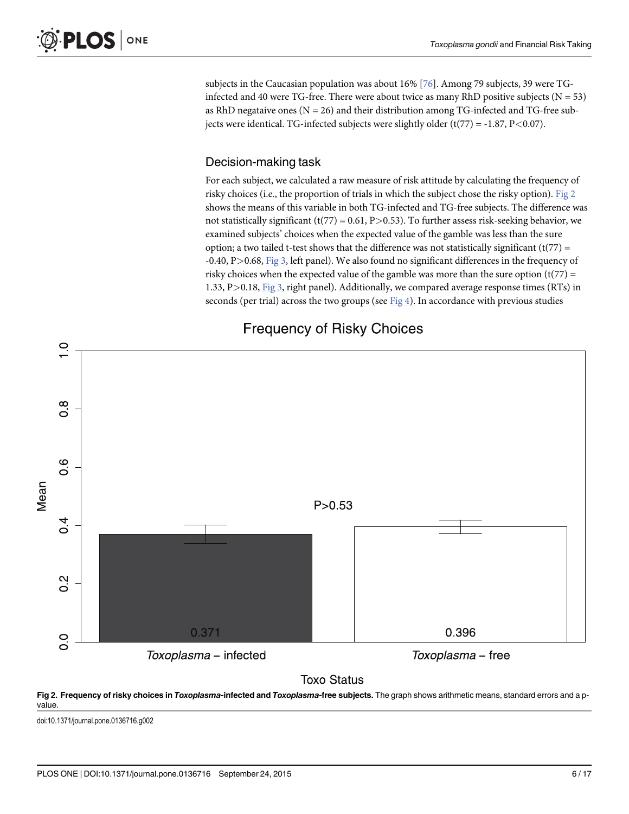<span id="page-5-0"></span>subjects in the Caucasian population was about 16% [[76](#page-15-0)]. Among 79 subjects, 39 were TGinfected and 40 were TG-free. There were about twice as many RhD positive subjects ( $N = 53$ ) as RhD negataive ones  $(N = 26)$  and their distribution among TG-infected and TG-free subjects were identical. TG-infected subjects were slightly older  $(t(77) = -1.87, P < 0.07)$ .

#### Decision-making task

For each subject, we calculated a raw measure of risk attitude by calculating the frequency of risky choices (i.e., the proportion of trials in which the subject chose the risky option). Fig 2 shows the means of this variable in both TG-infected and TG-free subjects. The difference was not statistically significant (t(77) = 0.61, P>0.53). To further assess risk-seeking behavior, we examined subjects' choices when the expected value of the gamble was less than the sure option; a two tailed t-test shows that the difference was not statistically significant  $(t(77) =$ -0.40, P $>$ 0.68, [Fig 3](#page-6-0), left panel). We also found no significant differences in the frequency of risky choices when the expected value of the gamble was more than the sure option  $(t(77) =$ 1.33, P>0.18, [Fig 3,](#page-6-0) right panel). Additionally, we compared average response times (RTs) in seconds (per trial) across the two groups (see  $Fig 4$ ). In accordance with previous studies



# **Frequency of Risky Choices**

# **Toxo Status**



doi:10.1371/journal.pone.0136716.g002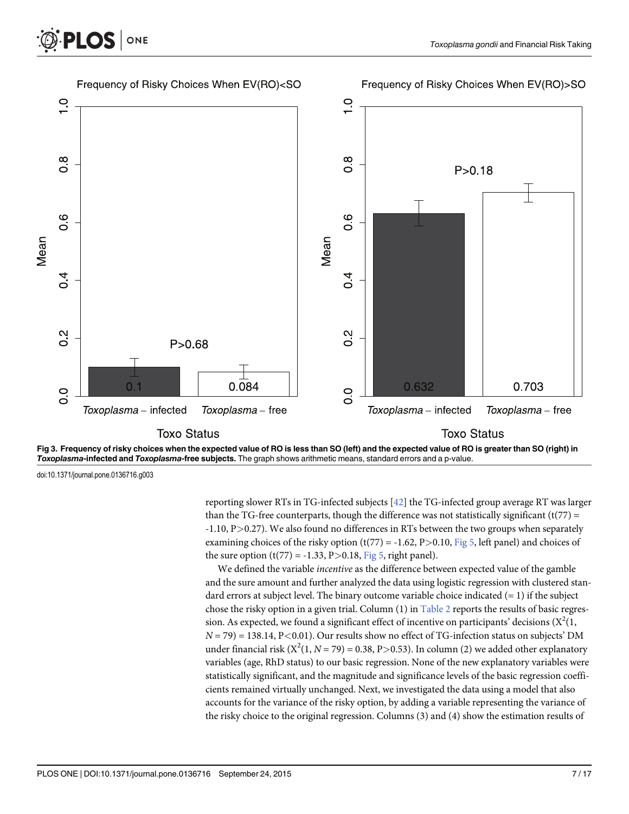



doi:10.1371/journal.pone.0136716.g003

<span id="page-6-0"></span>**PLOS** 

ONE

reporting slower RTs in TG-infected subjects [\[42\]](#page-14-0) the TG-infected group average RT was larger than the TG-free counterparts, though the difference was not statistically significant ( $t(77)$  = -1.10, P>0.27). We also found no differences in RTs between the two groups when separately examining choices of the risky option  $(t(77) = -1.62, P > 0.10,$  [Fig 5,](#page-8-0) left panel) and choices of the sure option  $(t(77) = -1.33, P > 0.18, Fig 5, right panel)$  $(t(77) = -1.33, P > 0.18, Fig 5, right panel)$  $(t(77) = -1.33, P > 0.18, Fig 5, right panel)$ .

We defined the variable *incentive* as the difference between expected value of the gamble and the sure amount and further analyzed the data using logistic regression with clustered standard errors at subject level. The binary outcome variable choice indicated  $(= 1)$  if the subject chose the risky option in a given trial. Column  $(1)$  in [Table 2](#page-9-0) reports the results of basic regression. As expected, we found a significant effect of incentive on participants' decisions ( $\mathrm{X}^2(1,$  $N = 79$ ) = 138.14, P<0.01). Our results show no effect of TG-infection status on subjects' DM under financial risk ( $X^2(1, N = 79) = 0.38$ , P $> 0.53$ ). In column (2) we added other explanatory variables (age, RhD status) to our basic regression. None of the new explanatory variables were statistically significant, and the magnitude and significance levels of the basic regression coefficients remained virtually unchanged. Next, we investigated the data using a model that also accounts for the variance of the risky option, by adding a variable representing the variance of the risky choice to the original regression. Columns (3) and (4) show the estimation results of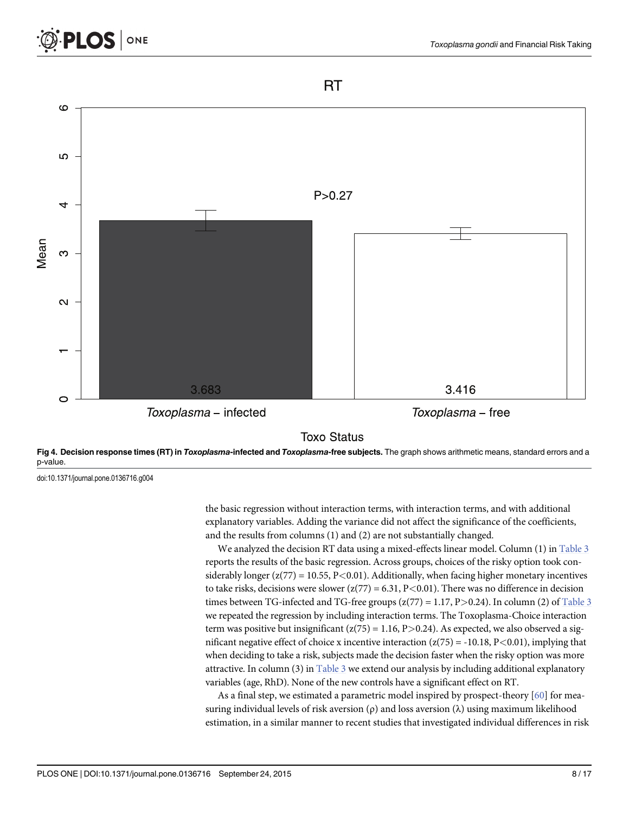<span id="page-7-0"></span>

**RT** 





doi:10.1371/journal.pone.0136716.g004

the basic regression without interaction terms, with interaction terms, and with additional explanatory variables. Adding the variance did not affect the significance of the coefficients, and the results from columns (1) and (2) are not substantially changed.

We analyzed the decision RT data using a mixed-effects linear model. Column  $(1)$  in [Table 3](#page-10-0) reports the results of the basic regression. Across groups, choices of the risky option took considerably longer  $(z(77) = 10.55, P < 0.01)$ . Additionally, when facing higher monetary incentives to take risks, decisions were slower  $(z(77) = 6.31, P < 0.01)$ . There was no difference in decision times between TG-infected and TG-free groups  $(z(77) = 1.17, P > 0.24)$ . In column (2) of [Table 3](#page-10-0) we repeated the regression by including interaction terms. The Toxoplasma-Choice interaction term was positive but insignificant  $(z(75) = 1.16, P > 0.24)$ . As expected, we also observed a significant negative effect of choice x incentive interaction  $(z(75) = -10.18, P < 0.01)$ , implying that when deciding to take a risk, subjects made the decision faster when the risky option was more attractive. In column (3) in  $Table 3$  we extend our analysis by including additional explanatory variables (age, RhD). None of the new controls have a significant effect on RT.

As a final step, we estimated a parametric model inspired by prospect-theory [\[60](#page-15-0)] for measuring individual levels of risk aversion  $(\rho)$  and loss aversion  $(\lambda)$  using maximum likelihood estimation, in a similar manner to recent studies that investigated individual differences in risk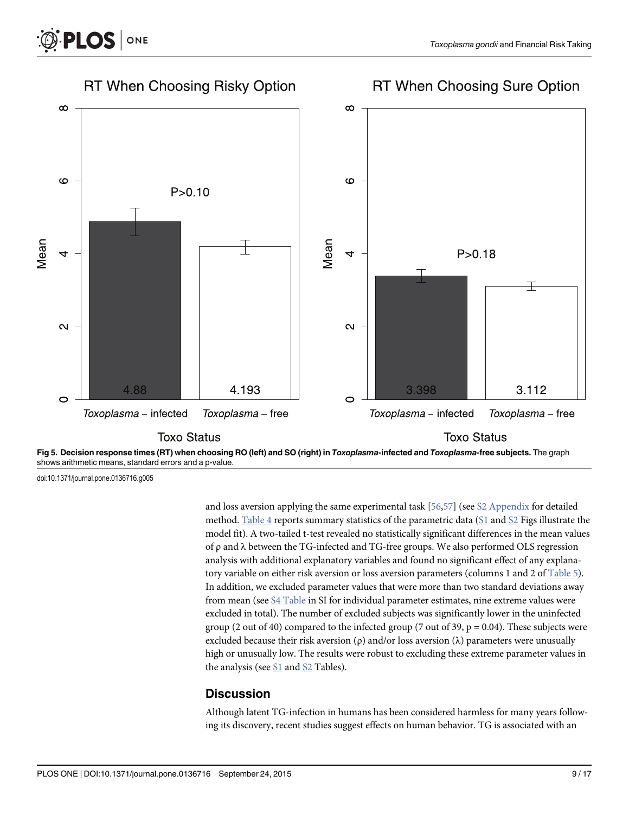

shows arithmetic means, standard errors and a p-value.

doi:10.1371/journal.pone.0136716.g005

<span id="page-8-0"></span>**PLOS** I

ONE

and loss aversion applying the same experimental task [[56](#page-15-0),[57](#page-15-0)] (see [S2 Appendix](#page-11-0) for detailed method. [Table 4](#page-10-0) reports summary statistics of the parametric data ( $S1$  and  $S2$  Figs illustrate the model fit). A two-tailed t-test revealed no statistically significant differences in the mean values of ρ and λ between the TG-infected and TG-free groups. We also performed OLS regression analysis with additional explanatory variables and found no significant effect of any explana-tory variable on either risk aversion or loss aversion parameters (columns 1 and 2 of [Table 5\)](#page-11-0). In addition, we excluded parameter values that were more than two standard deviations away from mean (see [S4 Table](#page-12-0) in SI for individual parameter estimates, nine extreme values were excluded in total). The number of excluded subjects was significantly lower in the uninfected group (2 out of 40) compared to the infected group (7 out of 39,  $p = 0.04$ ). These subjects were excluded because their risk aversion (ρ) and/or loss aversion (λ) parameters were unusually high or unusually low. The results were robust to excluding these extreme parameter values in the analysis (see  $S1$  and  $S2$  Tables).

#### **Discussion**

Although latent TG-infection in humans has been considered harmless for many years following its discovery, recent studies suggest effects on human behavior. TG is associated with an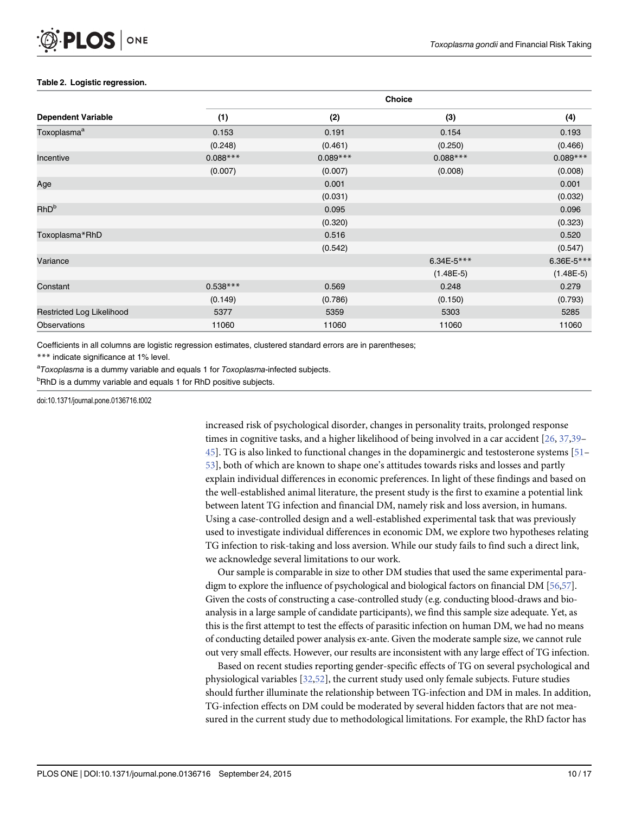#### <span id="page-9-0"></span>[Table 2.](#page-6-0) Logistic regression.

|                           | <b>Choice</b> |            |             |             |  |  |  |
|---------------------------|---------------|------------|-------------|-------------|--|--|--|
| <b>Dependent Variable</b> | (1)           | (2)        | (3)         | (4)         |  |  |  |
| Toxoplasma <sup>a</sup>   | 0.153         | 0.191      | 0.154       | 0.193       |  |  |  |
|                           | (0.248)       | (0.461)    | (0.250)     | (0.466)     |  |  |  |
| Incentive                 | $0.088***$    | $0.089***$ | $0.088***$  | $0.089***$  |  |  |  |
|                           | (0.007)       | (0.007)    | (0.008)     | (0.008)     |  |  |  |
| Age                       |               | 0.001      |             | 0.001       |  |  |  |
|                           |               | (0.031)    |             | (0.032)     |  |  |  |
| <b>RhD</b> <sup>b</sup>   |               | 0.095      |             | 0.096       |  |  |  |
|                           |               | (0.320)    |             | (0.323)     |  |  |  |
| Toxoplasma*RhD            |               | 0.516      |             | 0.520       |  |  |  |
|                           |               | (0.542)    |             | (0.547)     |  |  |  |
| Variance                  |               |            | 6.34E-5***  | 6.36E-5***  |  |  |  |
|                           |               |            | $(1.48E-5)$ | $(1.48E-5)$ |  |  |  |
| Constant                  | $0.538***$    | 0.569      | 0.248       | 0.279       |  |  |  |
|                           | (0.149)       | (0.786)    | (0.150)     | (0.793)     |  |  |  |
| Restricted Log Likelihood | 5377          | 5359       | 5303        | 5285        |  |  |  |
| <b>Observations</b>       | 11060         | 11060      | 11060       | 11060       |  |  |  |

Coefficients in all columns are logistic regression estimates, clustered standard errors are in parentheses;

\*\*\* indicate significance at 1% level.

<sup>a</sup>Toxoplasma is a dummy variable and equals 1 for Toxoplasma-infected subjects.

<sup>b</sup>RhD is a dummy variable and equals 1 for RhD positive subjects.

doi:10.1371/journal.pone.0136716.t002

increased risk of psychological disorder, changes in personality traits, prolonged response times in cognitive tasks, and a higher likelihood of being involved in a car accident [\[26](#page-13-0), [37,39](#page-14-0)–  $45$ ]. TG is also linked to functional changes in the dopaminergic and testosterone systems [ $51$ – [53\]](#page-15-0), both of which are known to shape one's attitudes towards risks and losses and partly explain individual differences in economic preferences. In light of these findings and based on the well-established animal literature, the present study is the first to examine a potential link between latent TG infection and financial DM, namely risk and loss aversion, in humans. Using a case-controlled design and a well-established experimental task that was previously used to investigate individual differences in economic DM, we explore two hypotheses relating TG infection to risk-taking and loss aversion. While our study fails to find such a direct link, we acknowledge several limitations to our work.

Our sample is comparable in size to other DM studies that used the same experimental paradigm to explore the influence of psychological and biological factors on financial DM [\[56,57](#page-15-0)]. Given the costs of constructing a case-controlled study (e.g. conducting blood-draws and bioanalysis in a large sample of candidate participants), we find this sample size adequate. Yet, as this is the first attempt to test the effects of parasitic infection on human DM, we had no means of conducting detailed power analysis ex-ante. Given the moderate sample size, we cannot rule out very small effects. However, our results are inconsistent with any large effect of TG infection.

Based on recent studies reporting gender-specific effects of TG on several psychological and physiological variables [[32](#page-14-0),[52](#page-14-0)], the current study used only female subjects. Future studies should further illuminate the relationship between TG-infection and DM in males. In addition, TG-infection effects on DM could be moderated by several hidden factors that are not measured in the current study due to methodological limitations. For example, the RhD factor has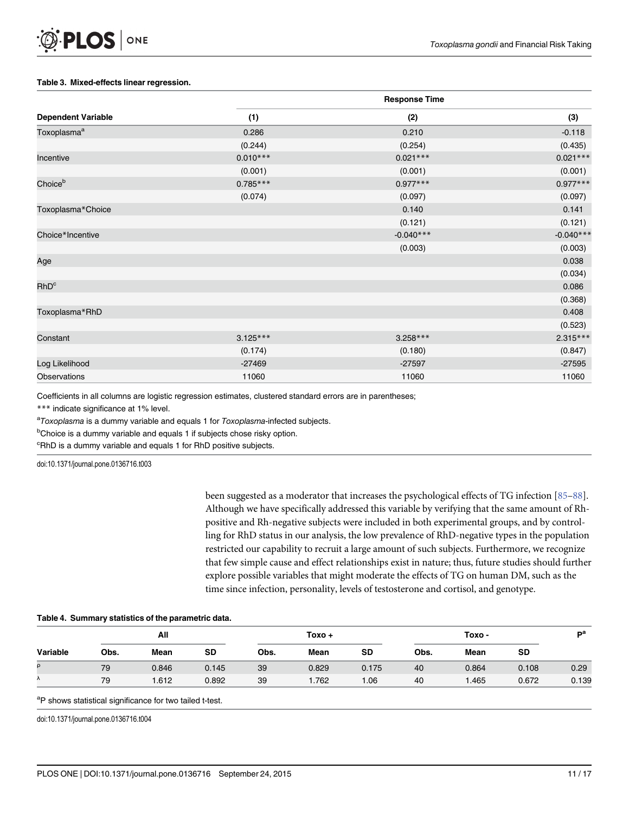#### <span id="page-10-0"></span>[Table 3.](#page-7-0) Mixed-effects linear regression.

|                           | <b>Response Time</b> |             |             |  |  |  |
|---------------------------|----------------------|-------------|-------------|--|--|--|
| <b>Dependent Variable</b> | (1)                  | (2)         | (3)         |  |  |  |
| Toxoplasma <sup>a</sup>   | 0.286                | 0.210       | $-0.118$    |  |  |  |
|                           | (0.244)              | (0.254)     | (0.435)     |  |  |  |
| Incentive                 | $0.010***$           | $0.021***$  | $0.021***$  |  |  |  |
|                           | (0.001)              | (0.001)     | (0.001)     |  |  |  |
| Choice <sup>b</sup>       | $0.785***$           | $0.977***$  | $0.977***$  |  |  |  |
|                           | (0.074)              | (0.097)     | (0.097)     |  |  |  |
| Toxoplasma*Choice         |                      | 0.140       | 0.141       |  |  |  |
|                           |                      | (0.121)     | (0.121)     |  |  |  |
| Choice*Incentive          |                      | $-0.040***$ | $-0.040***$ |  |  |  |
|                           |                      | (0.003)     | (0.003)     |  |  |  |
| Age                       |                      |             | 0.038       |  |  |  |
|                           |                      |             | (0.034)     |  |  |  |
| RhD <sup>c</sup>          |                      |             | 0.086       |  |  |  |
|                           |                      |             | (0.368)     |  |  |  |
| Toxoplasma*RhD            |                      |             | 0.408       |  |  |  |
|                           |                      |             | (0.523)     |  |  |  |
| Constant                  | $3.125***$           | $3.258***$  | $2.315***$  |  |  |  |
|                           | (0.174)              | (0.180)     | (0.847)     |  |  |  |
| Log Likelihood            | $-27469$             | $-27597$    | $-27595$    |  |  |  |
| <b>Observations</b>       | 11060                | 11060       | 11060       |  |  |  |

Coefficients in all columns are logistic regression estimates, clustered standard errors are in parentheses;

\*\*\* indicate significance at 1% level.

<sup>a</sup>Toxoplasma is a dummy variable and equals 1 for Toxoplasma-infected subjects.

<sup>b</sup>Choice is a dummy variable and equals 1 if subjects chose risky option.

<sup>c</sup>RhD is a dummy variable and equals 1 for RhD positive subjects.

doi:10.1371/journal.pone.0136716.t003

been suggested as a moderator that increases the psychological effects of TG infection [\[85](#page-16-0)–[88](#page-16-0)]. Although we have specifically addressed this variable by verifying that the same amount of Rhpositive and Rh-negative subjects were included in both experimental groups, and by controlling for RhD status in our analysis, the low prevalence of RhD-negative types in the population restricted our capability to recruit a large amount of such subjects. Furthermore, we recognize that few simple cause and effect relationships exist in nature; thus, future studies should further explore possible variables that might moderate the effects of TG on human DM, such as the time since infection, personality, levels of testosterone and cortisol, and genotype.

#### [Table 4.](#page-8-0) Summary statistics of the parametric data.

|          | All  |       |       | Toxo + |       |       | Toxo - |       |           | nа    |
|----------|------|-------|-------|--------|-------|-------|--------|-------|-----------|-------|
| Variable | Obs. | Mean  | SD    | Obs.   | Mean  | SD    | Obs.   | Mean  | <b>SD</b> |       |
| ρ        | 79   | 0.846 | 0.145 | 39     | 0.829 | 0.175 | 40     | 0.864 | 0.108     | 0.29  |
| Λ        | 79   | .612  | 0.892 | 39     | 1.762 | 1.06  | 40     | .465  | 0.672     | 0.139 |

<sup>a</sup>P shows statistical significance for two tailed t-test.

doi:10.1371/journal.pone.0136716.t004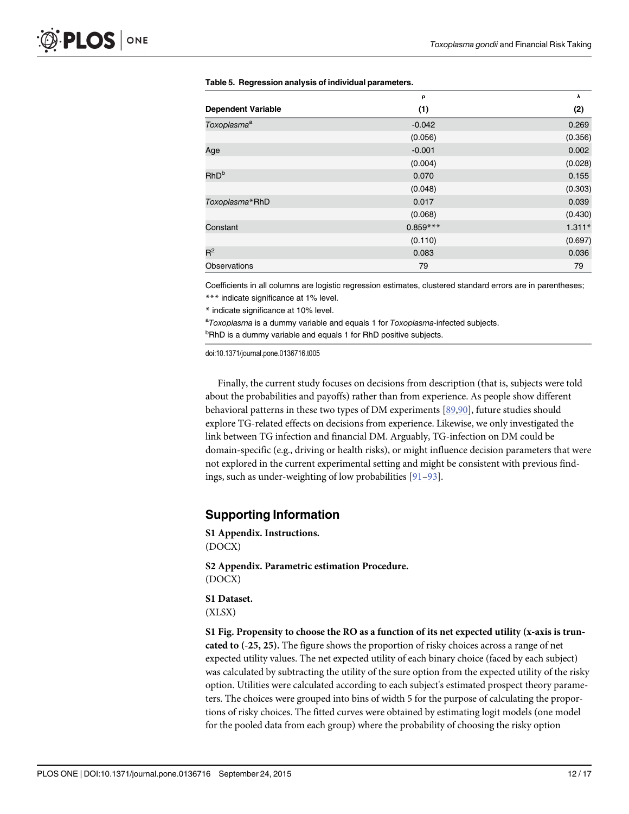|                           | ρ          | λ        |
|---------------------------|------------|----------|
| <b>Dependent Variable</b> | (1)        | (2)      |
| Toxoplasma <sup>a</sup>   | $-0.042$   | 0.269    |
|                           | (0.056)    | (0.356)  |
| Age                       | $-0.001$   | 0.002    |
|                           | (0.004)    | (0.028)  |
| RhD <sup>b</sup>          | 0.070      | 0.155    |
|                           | (0.048)    | (0.303)  |
| Toxoplasma*RhD            | 0.017      | 0.039    |
|                           | (0.068)    | (0.430)  |
| Constant                  | $0.859***$ | $1.311*$ |
|                           | (0.110)    | (0.697)  |
| $R^2$                     | 0.083      | 0.036    |
| <b>Observations</b>       | 79         | 79       |

#### <span id="page-11-0"></span>[Table 5.](#page-8-0) Regression analysis of individual parameters.

Coefficients in all columns are logistic regression estimates, clustered standard errors are in parentheses;

\*\*\* indicate significance at 1% level.

\* indicate significance at 10% level.

<sup>a</sup>Toxoplasma is a dummy variable and equals 1 for Toxoplasma-infected subjects.

<sup>b</sup>RhD is a dummy variable and equals 1 for RhD positive subjects.

doi:10.1371/journal.pone.0136716.t005

Finally, the current study focuses on decisions from description (that is, subjects were told about the probabilities and payoffs) rather than from experience. As people show different behavioral patterns in these two types of DM experiments [\[89,90\]](#page-16-0), future studies should explore TG-related effects on decisions from experience. Likewise, we only investigated the link between TG infection and financial DM. Arguably, TG-infection on DM could be domain-specific (e.g., driving or health risks), or might influence decision parameters that were not explored in the current experimental setting and might be consistent with previous findings, such as under-weighting of low probabilities [[91](#page-16-0)–[93\]](#page-16-0).

#### Supporting Information

[S1 Appendix.](http://www.plosone.org/article/fetchSingleRepresentation.action?uri=info:doi/10.1371/journal.pone.0136716.s001) Instructions. (DOCX)

[S2 Appendix.](http://www.plosone.org/article/fetchSingleRepresentation.action?uri=info:doi/10.1371/journal.pone.0136716.s002) Parametric estimation Procedure. (DOCX)

[S1 Dataset.](http://www.plosone.org/article/fetchSingleRepresentation.action?uri=info:doi/10.1371/journal.pone.0136716.s003) (XLSX)

[S1 Fig.](http://www.plosone.org/article/fetchSingleRepresentation.action?uri=info:doi/10.1371/journal.pone.0136716.s004) Propensity to choose the RO as a function of its net expected utility (x-axis is truncated to (-25, 25). The figure shows the proportion of risky choices across a range of net expected utility values. The net expected utility of each binary choice (faced by each subject) was calculated by subtracting the utility of the sure option from the expected utility of the risky option. Utilities were calculated according to each subject's estimated prospect theory parameters. The choices were grouped into bins of width 5 for the purpose of calculating the proportions of risky choices. The fitted curves were obtained by estimating logit models (one model for the pooled data from each group) where the probability of choosing the risky option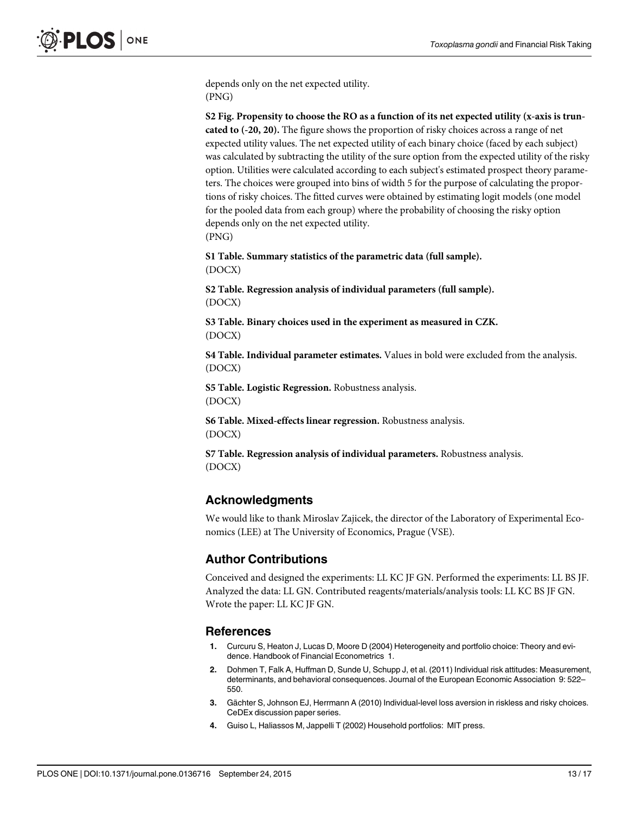<span id="page-12-0"></span>depends only on the net expected utility. (PNG)

[S2 Fig.](http://www.plosone.org/article/fetchSingleRepresentation.action?uri=info:doi/10.1371/journal.pone.0136716.s005) Propensity to choose the RO as a function of its net expected utility (x-axis is truncated to (-20, 20). The figure shows the proportion of risky choices across a range of net expected utility values. The net expected utility of each binary choice (faced by each subject) was calculated by subtracting the utility of the sure option from the expected utility of the risky option. Utilities were calculated according to each subject's estimated prospect theory parameters. The choices were grouped into bins of width 5 for the purpose of calculating the proportions of risky choices. The fitted curves were obtained by estimating logit models (one model for the pooled data from each group) where the probability of choosing the risky option depends only on the net expected utility. (PNG)

[S1 Table](http://www.plosone.org/article/fetchSingleRepresentation.action?uri=info:doi/10.1371/journal.pone.0136716.s006). Summary statistics of the parametric data (full sample). (DOCX)

[S2 Table](http://www.plosone.org/article/fetchSingleRepresentation.action?uri=info:doi/10.1371/journal.pone.0136716.s007). Regression analysis of individual parameters (full sample). (DOCX)

[S3 Table](http://www.plosone.org/article/fetchSingleRepresentation.action?uri=info:doi/10.1371/journal.pone.0136716.s008). Binary choices used in the experiment as measured in CZK. (DOCX)

[S4 Table](http://www.plosone.org/article/fetchSingleRepresentation.action?uri=info:doi/10.1371/journal.pone.0136716.s009). Individual parameter estimates. Values in bold were excluded from the analysis. (DOCX)

[S5 Table](http://www.plosone.org/article/fetchSingleRepresentation.action?uri=info:doi/10.1371/journal.pone.0136716.s010). Logistic Regression. Robustness analysis. (DOCX)

[S6 Table](http://www.plosone.org/article/fetchSingleRepresentation.action?uri=info:doi/10.1371/journal.pone.0136716.s011). Mixed-effects linear regression. Robustness analysis. (DOCX)

[S7 Table](http://www.plosone.org/article/fetchSingleRepresentation.action?uri=info:doi/10.1371/journal.pone.0136716.s012). Regression analysis of individual parameters. Robustness analysis. (DOCX)

## Acknowledgments

We would like to thank Miroslav Zajicek, the director of the Laboratory of Experimental Economics (LEE) at The University of Economics, Prague (VSE).

#### Author Contributions

Conceived and designed the experiments: LL KC JF GN. Performed the experiments: LL BS JF. Analyzed the data: LL GN. Contributed reagents/materials/analysis tools: LL KC BS JF GN. Wrote the paper: LL KC JF GN.

#### References

- [1.](#page-0-0) Curcuru S, Heaton J, Lucas D, Moore D (2004) Heterogeneity and portfolio choice: Theory and evidence. Handbook of Financial Econometrics 1.
- 2. Dohmen T, Falk A, Huffman D, Sunde U, Schupp J, et al. (2011) Individual risk attitudes: Measurement, determinants, and behavioral consequences. Journal of the European Economic Association 9: 522– 550.
- 3. Gächter S, Johnson EJ, Herrmann A (2010) Individual-level loss aversion in riskless and risky choices. CeDEx discussion paper series.
- 4. Guiso L, Haliassos M, Jappelli T (2002) Household portfolios: MIT press.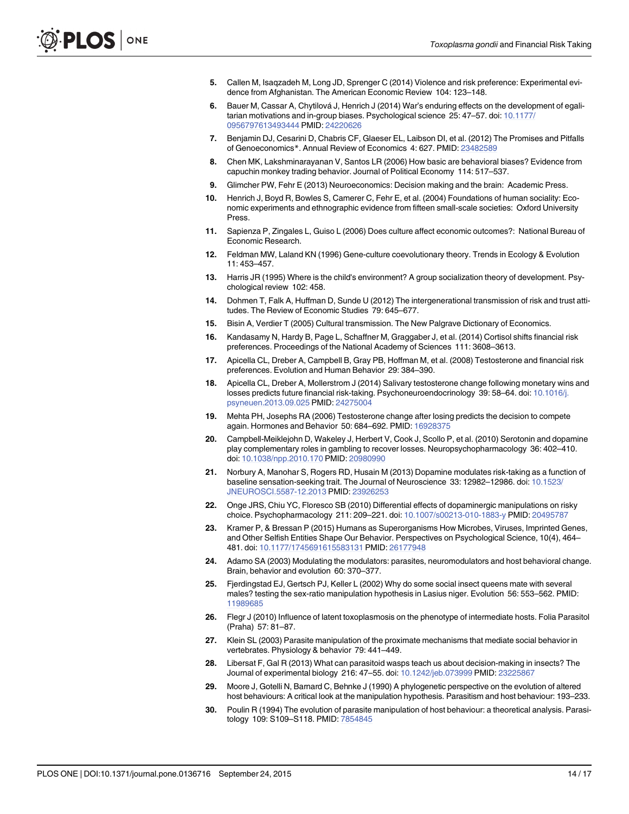- <span id="page-13-0"></span>[5.](#page-1-0) Callen M, Isaqzadeh M, Long JD, Sprenger C (2014) Violence and risk preference: Experimental evidence from Afghanistan. The American Economic Review 104: 123–148.
- [6.](#page-0-0) Bauer M, Cassar A, Chytilová J, Henrich J (2014) War's enduring effects on the development of egalitarian motivations and in-group biases. Psychological science 25: 47–57. doi: [10.1177/](http://dx.doi.org/10.1177/0956797613493444) [0956797613493444](http://dx.doi.org/10.1177/0956797613493444) PMID: [24220626](http://www.ncbi.nlm.nih.gov/pubmed/24220626)
- 7. Benjamin DJ, Cesarini D, Chabris CF, Glaeser EL, Laibson DI, et al. (2012) The Promises and Pitfalls of Genoeconomics\*. Annual Review of Economics 4: 627. PMID: [23482589](http://www.ncbi.nlm.nih.gov/pubmed/23482589)
- 8. Chen MK, Lakshminarayanan V, Santos LR (2006) How basic are behavioral biases? Evidence from capuchin monkey trading behavior. Journal of Political Economy 114: 517–537.
- 9. Glimcher PW, Fehr E (2013) Neuroeconomics: Decision making and the brain: Academic Press.
- 10. Henrich J, Boyd R, Bowles S, Camerer C, Fehr E, et al. (2004) Foundations of human sociality: Economic experiments and ethnographic evidence from fifteen small-scale societies: Oxford University Press.
- [11.](#page-1-0) Sapienza P, Zingales L, Guiso L (2006) Does culture affect economic outcomes?: National Bureau of Economic Research.
- [12.](#page-1-0) Feldman MW, Laland KN (1996) Gene-culture coevolutionary theory. Trends in Ecology & Evolution 11: 453–457.
- 13. Harris JR (1995) Where is the child's environment? A group socialization theory of development. Psychological review 102: 458.
- 14. Dohmen T, Falk A, Huffman D, Sunde U (2012) The intergenerational transmission of risk and trust attitudes. The Review of Economic Studies 79: 645–677.
- [15.](#page-1-0) Bisin A, Verdier T (2005) Cultural transmission. The New Palgrave Dictionary of Economics.
- [16.](#page-1-0) Kandasamy N, Hardy B, Page L, Schaffner M, Graggaber J, et al. (2014) Cortisol shifts financial risk preferences. Proceedings of the National Academy of Sciences 111: 3608–3613.
- [17.](#page-1-0) Apicella CL, Dreber A, Campbell B, Gray PB, Hoffman M, et al. (2008) Testosterone and financial risk preferences. Evolution and Human Behavior 29: 384–390.
- 18. Apicella CL, Dreber A, Mollerstrom J (2014) Salivary testosterone change following monetary wins and losses predicts future financial risk-taking. Psychoneuroendocrinology 39: 58–64. doi: [10.1016/j.](http://dx.doi.org/10.1016/j.psyneuen.2013.09.025) [psyneuen.2013.09.025](http://dx.doi.org/10.1016/j.psyneuen.2013.09.025) PMID: [24275004](http://www.ncbi.nlm.nih.gov/pubmed/24275004)
- [19.](#page-1-0) Mehta PH, Josephs RA (2006) Testosterone change after losing predicts the decision to compete again. Hormones and Behavior 50: 684–692. PMID: [16928375](http://www.ncbi.nlm.nih.gov/pubmed/16928375)
- [20.](#page-1-0) Campbell-Meiklejohn D, Wakeley J, Herbert V, Cook J, Scollo P, et al. (2010) Serotonin and dopamine play complementary roles in gambling to recover losses. Neuropsychopharmacology 36: 402–410. doi: [10.1038/npp.2010.170](http://dx.doi.org/10.1038/npp.2010.170) PMID: [20980990](http://www.ncbi.nlm.nih.gov/pubmed/20980990)
- 21. Norbury A, Manohar S, Rogers RD, Husain M (2013) Dopamine modulates risk-taking as a function of baseline sensation-seeking trait. The Journal of Neuroscience 33: 12982–12986. doi: [10.1523/](http://dx.doi.org/10.1523/JNEUROSCI.5587-12.2013) [JNEUROSCI.5587-12.2013](http://dx.doi.org/10.1523/JNEUROSCI.5587-12.2013) PMID: [23926253](http://www.ncbi.nlm.nih.gov/pubmed/23926253)
- [22.](#page-1-0) Onge JRS, Chiu YC, Floresco SB (2010) Differential effects of dopaminergic manipulations on risky choice. Psychopharmacology 211: 209–221. doi: [10.1007/s00213-010-1883-y](http://dx.doi.org/10.1007/s00213-010-1883-y) PMID: [20495787](http://www.ncbi.nlm.nih.gov/pubmed/20495787)
- [23.](#page-1-0) Kramer P, & Bressan P (2015) Humans as Superorganisms How Microbes, Viruses, Imprinted Genes, and Other Selfish Entities Shape Our Behavior. Perspectives on Psychological Science, 10(4), 464– 481. doi: [10.1177/1745691615583131](http://dx.doi.org/10.1177/1745691615583131) PMID: [26177948](http://www.ncbi.nlm.nih.gov/pubmed/26177948)
- [24.](#page-1-0) Adamo SA (2003) Modulating the modulators: parasites, neuromodulators and host behavioral change. Brain, behavior and evolution 60: 370–377.
- 25. Fjerdingstad EJ, Gertsch PJ, Keller L (2002) Why do some social insect queens mate with several males? testing the sex-ratio manipulation hypothesis in Lasius niger. Evolution 56: 553-562. PMID: [11989685](http://www.ncbi.nlm.nih.gov/pubmed/11989685)
- [26.](#page-1-0) Flegr J (2010) Influence of latent toxoplasmosis on the phenotype of intermediate hosts. Folia Parasitol (Praha) 57: 81–87.
- 27. Klein SL (2003) Parasite manipulation of the proximate mechanisms that mediate social behavior in vertebrates. Physiology & behavior 79: 441–449.
- 28. Libersat F, Gal R (2013) What can parasitoid wasps teach us about decision-making in insects? The Journal of experimental biology 216: 47–55. doi: [10.1242/jeb.073999](http://dx.doi.org/10.1242/jeb.073999) PMID: [23225867](http://www.ncbi.nlm.nih.gov/pubmed/23225867)
- [29.](#page-1-0) Moore J, Gotelli N, Barnard C, Behnke J (1990) A phylogenetic perspective on the evolution of altered host behaviours: A critical look at the manipulation hypothesis. Parasitism and host behaviour: 193–233.
- 30. Poulin R (1994) The evolution of parasite manipulation of host behaviour: a theoretical analysis. Parasitology 109: S109–S118. PMID: [7854845](http://www.ncbi.nlm.nih.gov/pubmed/7854845)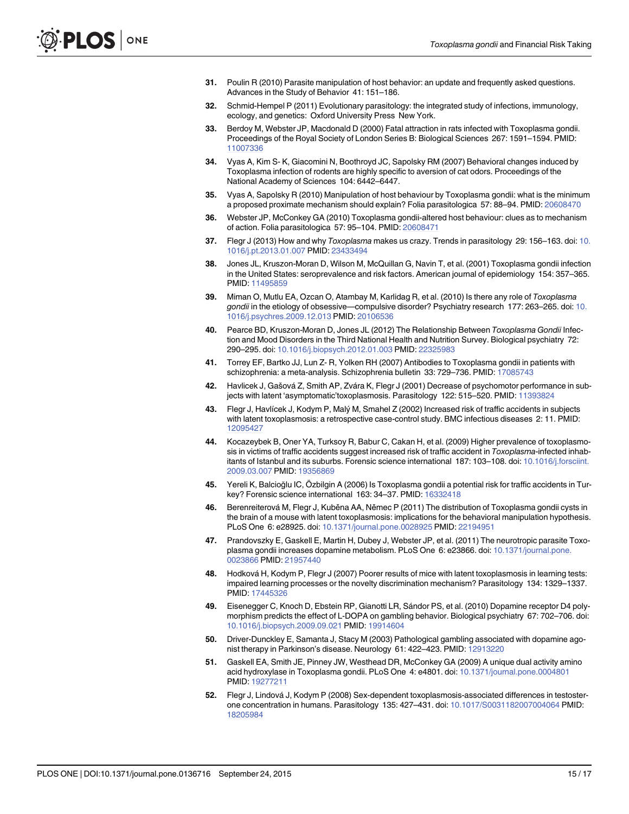- <span id="page-14-0"></span>[31.](#page-1-0) Poulin R (2010) Parasite manipulation of host behavior: an update and frequently asked questions. Advances in the Study of Behavior 41: 151–186.
- [32.](#page-1-0) Schmid-Hempel P (2011) Evolutionary parasitology: the integrated study of infections, immunology, ecology, and genetics: Oxford University Press New York.
- [33.](#page-1-0) Berdoy M, Webster JP, Macdonald D (2000) Fatal attraction in rats infected with Toxoplasma gondii. Proceedings of the Royal Society of London Series B: Biological Sciences 267: 1591–1594. PMID: [11007336](http://www.ncbi.nlm.nih.gov/pubmed/11007336)
- 34. Vyas A, Kim S- K, Giacomini N, Boothroyd JC, Sapolsky RM (2007) Behavioral changes induced by Toxoplasma infection of rodents are highly specific to aversion of cat odors. Proceedings of the National Academy of Sciences 104: 6442–6447.
- 35. Vyas A, Sapolsky R (2010) Manipulation of host behaviour by Toxoplasma gondii: what is the minimum a proposed proximate mechanism should explain? Folia parasitologica 57: 88–94. PMID: [20608470](http://www.ncbi.nlm.nih.gov/pubmed/20608470)
- [36.](#page-1-0) Webster JP, McConkey GA (2010) Toxoplasma gondii-altered host behaviour: clues as to mechanism of action. Folia parasitologica 57: 95–104. PMID: [20608471](http://www.ncbi.nlm.nih.gov/pubmed/20608471)
- [37.](#page-1-0) Flegr J (2013) How and why Toxoplasma makes us crazy. Trends in parasitology 29: 156–163. doi: [10.](http://dx.doi.org/10.1016/j.pt.2013.01.007) [1016/j.pt.2013.01.007](http://dx.doi.org/10.1016/j.pt.2013.01.007) PMID: [23433494](http://www.ncbi.nlm.nih.gov/pubmed/23433494)
- [38.](#page-1-0) Jones JL, Kruszon-Moran D, Wilson M, McQuillan G, Navin T, et al. (2001) Toxoplasma gondii infection in the United States: seroprevalence and risk factors. American journal of epidemiology 154: 357–365. PMID: [11495859](http://www.ncbi.nlm.nih.gov/pubmed/11495859)
- [39.](#page-1-0) Miman O, Mutlu EA, Ozcan O, Atambay M, Karlidag R, et al. (2010) Is there any role of Toxoplasma gondii in the etiology of obsessive—compulsive disorder? Psychiatry research 177: 263-265. doi: [10.](http://dx.doi.org/10.1016/j.psychres.2009.12.013) [1016/j.psychres.2009.12.013](http://dx.doi.org/10.1016/j.psychres.2009.12.013) PMID: [20106536](http://www.ncbi.nlm.nih.gov/pubmed/20106536)
- 40. Pearce BD, Kruszon-Moran D, Jones JL (2012) The Relationship Between Toxoplasma Gondii Infection and Mood Disorders in the Third National Health and Nutrition Survey. Biological psychiatry 72: 290–295. doi: [10.1016/j.biopsych.2012.01.003](http://dx.doi.org/10.1016/j.biopsych.2012.01.003) PMID: [22325983](http://www.ncbi.nlm.nih.gov/pubmed/22325983)
- [41.](#page-1-0) Torrey EF, Bartko JJ, Lun Z- R, Yolken RH (2007) Antibodies to Toxoplasma gondii in patients with schizophrenia: a meta-analysis. Schizophrenia bulletin 33: 729-736. PMID: [17085743](http://www.ncbi.nlm.nih.gov/pubmed/17085743)
- [42.](#page-1-0) Havlicek J, Gašová Z, Smith AP, Zvára K, Flegr J (2001) Decrease of psychomotor performance in sub-jects with latent 'asymptomatic'toxoplasmosis. Parasitology 122: 515-520. PMID: [11393824](http://www.ncbi.nlm.nih.gov/pubmed/11393824)
- [43.](#page-1-0) Flegr J, Havlícek J, Kodym P, Malý M, Smahel Z (2002) Increased risk of traffic accidents in subjects with latent toxoplasmosis: a retrospective case-control study. BMC infectious diseases 2: 11. PMID: [12095427](http://www.ncbi.nlm.nih.gov/pubmed/12095427)
- 44. Kocazeybek B, Oner YA, Turksoy R, Babur C, Cakan H, et al. (2009) Higher prevalence of toxoplasmosis in victims of traffic accidents suggest increased risk of traffic accident in Toxoplasma-infected inhabitants of Istanbul and its suburbs. Forensic science international 187: 103–108. doi: [10.1016/j.forsciint.](http://dx.doi.org/10.1016/j.forsciint.2009.03.007) [2009.03.007](http://dx.doi.org/10.1016/j.forsciint.2009.03.007) PMID: [19356869](http://www.ncbi.nlm.nih.gov/pubmed/19356869)
- [45.](#page-1-0) Yereli K, Balcioğlu IC, Özbilgin A (2006) Is Toxoplasma gondii a potential risk for traffic accidents in Turkey? Forensic science international 163: 34–37. PMID: [16332418](http://www.ncbi.nlm.nih.gov/pubmed/16332418)
- [46.](#page-1-0) Berenreiterová M, Flegr J, Kuběna AA, Němec P (2011) The distribution of Toxoplasma gondii cysts in the brain of a mouse with latent toxoplasmosis: implications for the behavioral manipulation hypothesis. PLoS One 6: e28925. doi: [10.1371/journal.pone.0028925](http://dx.doi.org/10.1371/journal.pone.0028925) PMID: [22194951](http://www.ncbi.nlm.nih.gov/pubmed/22194951)
- 47. Prandovszky E, Gaskell E, Martin H, Dubey J, Webster JP, et al. (2011) The neurotropic parasite Toxoplasma gondii increases dopamine metabolism. PLoS One 6: e23866. doi: [10.1371/journal.pone.](http://dx.doi.org/10.1371/journal.pone.0023866) [0023866](http://dx.doi.org/10.1371/journal.pone.0023866) PMID: [21957440](http://www.ncbi.nlm.nih.gov/pubmed/21957440)
- [48.](#page-1-0) Hodková H, Kodym P, Flegr J (2007) Poorer results of mice with latent toxoplasmosis in learning tests: impaired learning processes or the novelty discrimination mechanism? Parasitology 134: 1329–1337. PMID: [17445326](http://www.ncbi.nlm.nih.gov/pubmed/17445326)
- [49.](#page-1-0) Eisenegger C, Knoch D, Ebstein RP, Gianotti LR, Sándor PS, et al. (2010) Dopamine receptor D4 polymorphism predicts the effect of L-DOPA on gambling behavior. Biological psychiatry 67: 702–706. doi: [10.1016/j.biopsych.2009.09.021](http://dx.doi.org/10.1016/j.biopsych.2009.09.021) PMID: [19914604](http://www.ncbi.nlm.nih.gov/pubmed/19914604)
- [50.](#page-1-0) Driver-Dunckley E, Samanta J, Stacy M (2003) Pathological gambling associated with dopamine ago-nist therapy in Parkinson's disease. Neurology 61: 422-423. PMID: [12913220](http://www.ncbi.nlm.nih.gov/pubmed/12913220)
- [51.](#page-1-0) Gaskell EA, Smith JE, Pinney JW, Westhead DR, McConkey GA (2009) A unique dual activity amino acid hydroxylase in Toxoplasma gondii. PLoS One 4: e4801. doi: [10.1371/journal.pone.0004801](http://dx.doi.org/10.1371/journal.pone.0004801) PMID: [19277211](http://www.ncbi.nlm.nih.gov/pubmed/19277211)
- [52.](#page-1-0) Flegr J, Lindová J, Kodym P (2008) Sex-dependent toxoplasmosis-associated differences in testosterone concentration in humans. Parasitology 135: 427–431. doi: [10.1017/S0031182007004064](http://dx.doi.org/10.1017/S0031182007004064) PMID: [18205984](http://www.ncbi.nlm.nih.gov/pubmed/18205984)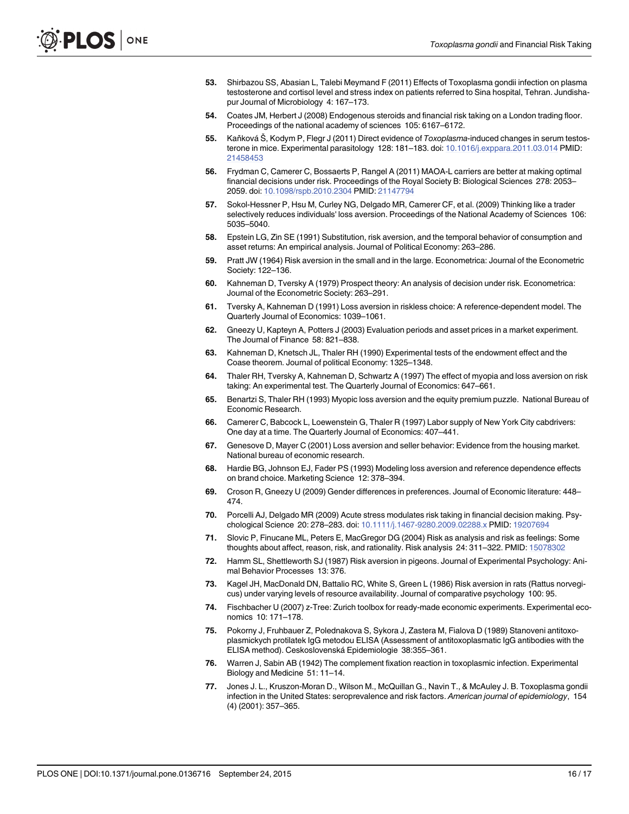- <span id="page-15-0"></span>[53.](#page-1-0) Shirbazou SS, Abasian L, Talebi Meymand F (2011) Effects of Toxoplasma gondii infection on plasma testosterone and cortisol level and stress index on patients referred to Sina hospital, Tehran. Jundishapur Journal of Microbiology 4: 167–173.
- [54.](#page-1-0) Coates JM, Herbert J (2008) Endogenous steroids and financial risk taking on a London trading floor. Proceedings of the national academy of sciences 105: 6167–6172.
- [55.](#page-1-0) Kaňková Š, Kodym P, Flegr J (2011) Direct evidence of Toxoplasma-induced changes in serum testosterone in mice. Experimental parasitology 128: 181–183. doi: [10.1016/j.exppara.2011.03.014](http://dx.doi.org/10.1016/j.exppara.2011.03.014) PMID: [21458453](http://www.ncbi.nlm.nih.gov/pubmed/21458453)
- [56.](#page-2-0) Frydman C, Camerer C, Bossaerts P, Rangel A (2011) MAOA-L carriers are better at making optimal financial decisions under risk. Proceedings of the Royal Society B: Biological Sciences 278: 2053– 2059. doi: [10.1098/rspb.2010.2304](http://dx.doi.org/10.1098/rspb.2010.2304) PMID: [21147794](http://www.ncbi.nlm.nih.gov/pubmed/21147794)
- [57.](#page-2-0) Sokol-Hessner P, Hsu M, Curley NG, Delgado MR, Camerer CF, et al. (2009) Thinking like a trader selectively reduces individuals' loss aversion. Proceedings of the National Academy of Sciences 106: 5035–5040.
- [58.](#page-2-0) Epstein LG, Zin SE (1991) Substitution, risk aversion, and the temporal behavior of consumption and asset returns: An empirical analysis. Journal of Political Economy: 263–286.
- [59.](#page-2-0) Pratt JW (1964) Risk aversion in the small and in the large. Econometrica: Journal of the Econometric Society: 122–136.
- [60.](#page-2-0) Kahneman D, Tversky A (1979) Prospect theory: An analysis of decision under risk. Econometrica: Journal of the Econometric Society: 263–291.
- [61.](#page-2-0) Tversky A, Kahneman D (1991) Loss aversion in riskless choice: A reference-dependent model. The Quarterly Journal of Economics: 1039–1061.
- [62.](#page-2-0) Gneezy U, Kapteyn A, Potters J (2003) Evaluation periods and asset prices in a market experiment. The Journal of Finance 58: 821–838.
- 63. Kahneman D, Knetsch JL, Thaler RH (1990) Experimental tests of the endowment effect and the Coase theorem. Journal of political Economy: 1325–1348.
- [64.](#page-2-0) Thaler RH, Tversky A, Kahneman D, Schwartz A (1997) The effect of myopia and loss aversion on risk taking: An experimental test. The Quarterly Journal of Economics: 647–661.
- [65.](#page-2-0) Benartzi S, Thaler RH (1993) Myopic loss aversion and the equity premium puzzle. National Bureau of Economic Research.
- 66. Camerer C, Babcock L, Loewenstein G, Thaler R (1997) Labor supply of New York City cabdrivers: One day at a time. The Quarterly Journal of Economics: 407–441.
- 67. Genesove D, Mayer C (2001) Loss aversion and seller behavior: Evidence from the housing market. National bureau of economic research.
- [68.](#page-2-0) Hardie BG, Johnson EJ, Fader PS (1993) Modeling loss aversion and reference dependence effects on brand choice. Marketing Science 12: 378–394.
- [69.](#page-2-0) Croson R, Gneezy U (2009) Gender differences in preferences. Journal of Economic literature: 448– 474.
- 70. Porcelli AJ, Delgado MR (2009) Acute stress modulates risk taking in financial decision making. Psychological Science 20: 278–283. doi: [10.1111/j.1467-9280.2009.02288.x](http://dx.doi.org/10.1111/j.1467-9280.2009.02288.x) PMID: [19207694](http://www.ncbi.nlm.nih.gov/pubmed/19207694)
- [71.](#page-2-0) Slovic P, Finucane ML, Peters E, MacGregor DG (2004) Risk as analysis and risk as feelings: Some thoughts about affect, reason, risk, and rationality. Risk analysis 24: 311–322. PMID: [15078302](http://www.ncbi.nlm.nih.gov/pubmed/15078302)
- [72.](#page-2-0) Hamm SL, Shettleworth SJ (1987) Risk aversion in pigeons. Journal of Experimental Psychology: Animal Behavior Processes 13: 376.
- [73.](#page-2-0) Kagel JH, MacDonald DN, Battalio RC, White S, Green L (1986) Risk aversion in rats (Rattus norvegicus) under varying levels of resource availability. Journal of comparative psychology 100: 95.
- [74.](#page-2-0) Fischbacher U (2007) z-Tree: Zurich toolbox for ready-made economic experiments. Experimental economics 10: 171–178.
- [75.](#page-4-0) Pokorny J, Fruhbauer Z, Polednakova S, Sykora J, Zastera M, Fialova D (1989) Stanoveni antitoxoplasmickych protilatek IgG metodou ELISA (Assessment of antitoxoplasmatic IgG antibodies with the ELISA method). Ceskoslovenská Epidemiologie 38:355–361.
- [76.](#page-4-0) Warren J, Sabin AB (1942) The complement fixation reaction in toxoplasmic infection. Experimental Biology and Medicine 51: 11–14.
- [77.](#page-4-0) Jones J. L., Kruszon-Moran D., Wilson M., McQuillan G., Navin T., & McAuley J. B. Toxoplasma gondii infection in the United States: seroprevalence and risk factors. American journal of epidemiology, 154 (4) (2001): 357–365.